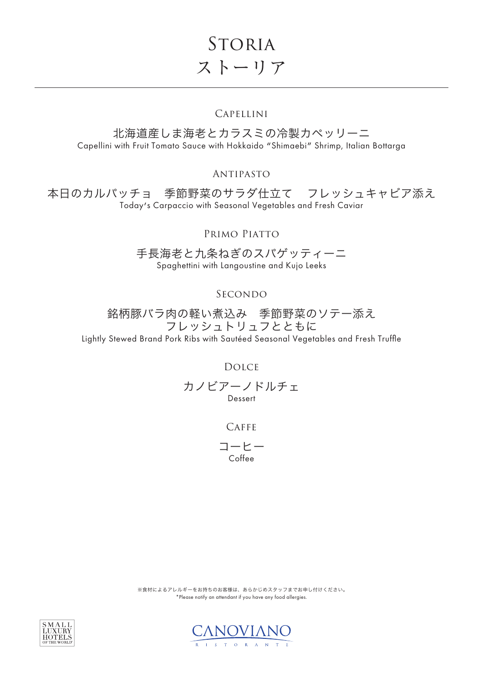**STORIA** ストーリア

# Capellini

北海道産しま海老とカラスミの冷製カペッリーニ Capellini with Fruit Tomato Sauce with Hokkaido "Shimaebi" Shrimp, Italian Bottarga

Antipasto

本日のカルパッチョ 季節野菜のサラダ仕立て フレッシュキャビア添え Today's Carpaccio with Seasonal Vegetables and Fresh Caviar

Primo Piatto

手長海老と九条ねぎのスパゲッティーニ Spaghettini with Langoustine and Kujo Leeks

SECONDO

銘柄豚バラ肉の軽い煮込み 季節野菜のソテー添え フレッシュトリュフとともに

Lightly Stewed Brand Pork Ribs with Sautéed Seasonal Vegetables and Fresh Truffle

Dolce

カノビアーノドルチェ Dessert

CAFFE

コーヒー Coffee

※食材によるアレルギーをお持ちのお客様は、あらかじめスタッフまでお申し付けください。 \*Please notify an attendant if you have any food allergies.



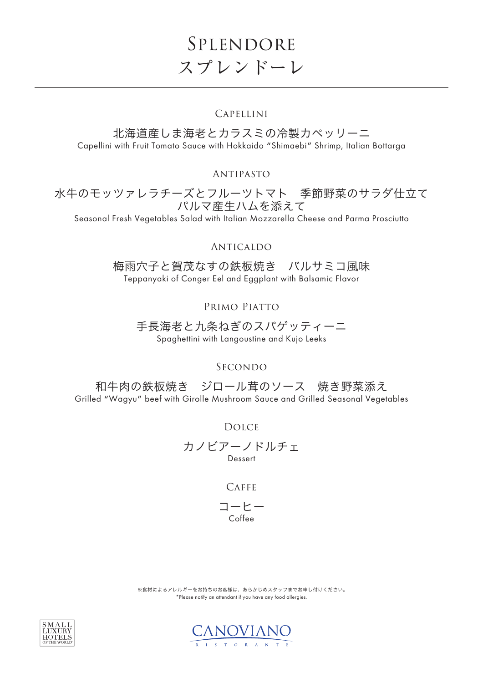# Splendore スプレンドーレ

# Capellini

北海道産しま海老とカラスミの冷製カペッリーニ Capellini with Fruit Tomato Sauce with Hokkaido "Shimaebi" Shrimp, Italian Bottarga

Antipasto

水牛のモッツァレラチーズとフルーツトマト 季節野菜のサラダ仕立て パルマ産生ハムを添えて

Seasonal Fresh Vegetables Salad with Italian Mozzarella Cheese and Parma Prosciutto

# Anticaldo

梅雨穴子と賀茂なすの鉄板焼き バルサミコ風味 Teppanyaki of Conger Eel and Eggplant with Balsamic Flavor

Primo Piatto

手長海老と九条ねぎのスパゲッティーニ Spaghettini with Langoustine and Kujo Leeks

# SECONDO

和牛肉の鉄板焼き ジロール茸のソース 焼き野菜添え Grilled "Wagyu" beef with Girolle Mushroom Sauce and Grilled Seasonal Vegetables

Dolce

カノビアーノドルチェ Dessert

# CAFFE

コーヒー Coffee

※食材によるアレルギーをお持ちのお客様は、あらかじめスタッフまでお申し付けください。 \*Please notify an attendant if you have any food allergies.